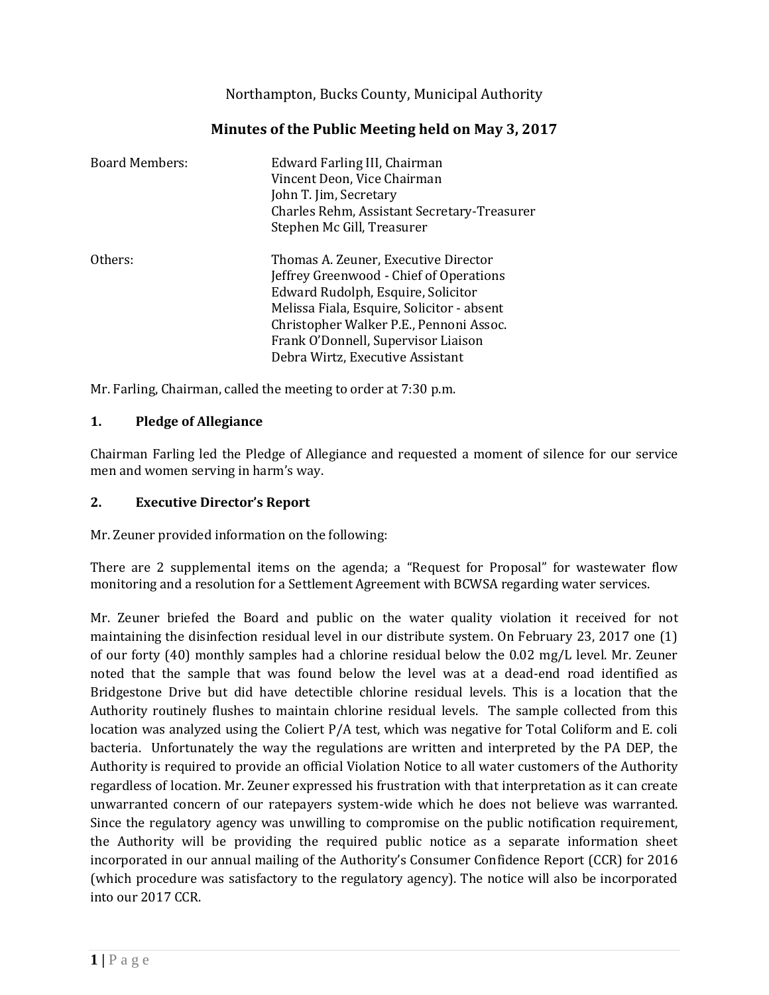Northampton, Bucks County, Municipal Authority

| <b>Board Members:</b> | Edward Farling III, Chairman<br>Vincent Deon, Vice Chairman<br>John T. Jim, Secretary<br>Charles Rehm, Assistant Secretary-Treasurer<br>Stephen Mc Gill, Treasurer                                                                                                                        |
|-----------------------|-------------------------------------------------------------------------------------------------------------------------------------------------------------------------------------------------------------------------------------------------------------------------------------------|
| Others:               | Thomas A. Zeuner, Executive Director<br>Jeffrey Greenwood - Chief of Operations<br>Edward Rudolph, Esquire, Solicitor<br>Melissa Fiala, Esquire, Solicitor - absent<br>Christopher Walker P.E., Pennoni Assoc.<br>Frank O'Donnell, Supervisor Liaison<br>Debra Wirtz, Executive Assistant |

# **Minutes of the Public Meeting held on May 3, 2017**

Mr. Farling, Chairman, called the meeting to order at 7:30 p.m.

## **1. Pledge of Allegiance**

Chairman Farling led the Pledge of Allegiance and requested a moment of silence for our service men and women serving in harm's way.

#### **2. Executive Director's Report**

Mr. Zeuner provided information on the following:

There are 2 supplemental items on the agenda; a "Request for Proposal" for wastewater flow monitoring and a resolution for a Settlement Agreement with BCWSA regarding water services.

Mr. Zeuner briefed the Board and public on the water quality violation it received for not maintaining the disinfection residual level in our distribute system. On February 23, 2017 one (1) of our forty (40) monthly samples had a chlorine residual below the 0.02 mg/L level. Mr. Zeuner noted that the sample that was found below the level was at a dead-end road identified as Bridgestone Drive but did have detectible chlorine residual levels. This is a location that the Authority routinely flushes to maintain chlorine residual levels. The sample collected from this location was analyzed using the Coliert P/A test, which was negative for Total Coliform and E. coli bacteria. Unfortunately the way the regulations are written and interpreted by the PA DEP, the Authority is required to provide an official Violation Notice to all water customers of the Authority regardless of location. Mr. Zeuner expressed his frustration with that interpretation as it can create unwarranted concern of our ratepayers system-wide which he does not believe was warranted. Since the regulatory agency was unwilling to compromise on the public notification requirement, the Authority will be providing the required public notice as a separate information sheet incorporated in our annual mailing of the Authority's Consumer Confidence Report (CCR) for 2016 (which procedure was satisfactory to the regulatory agency). The notice will also be incorporated into our 2017 CCR.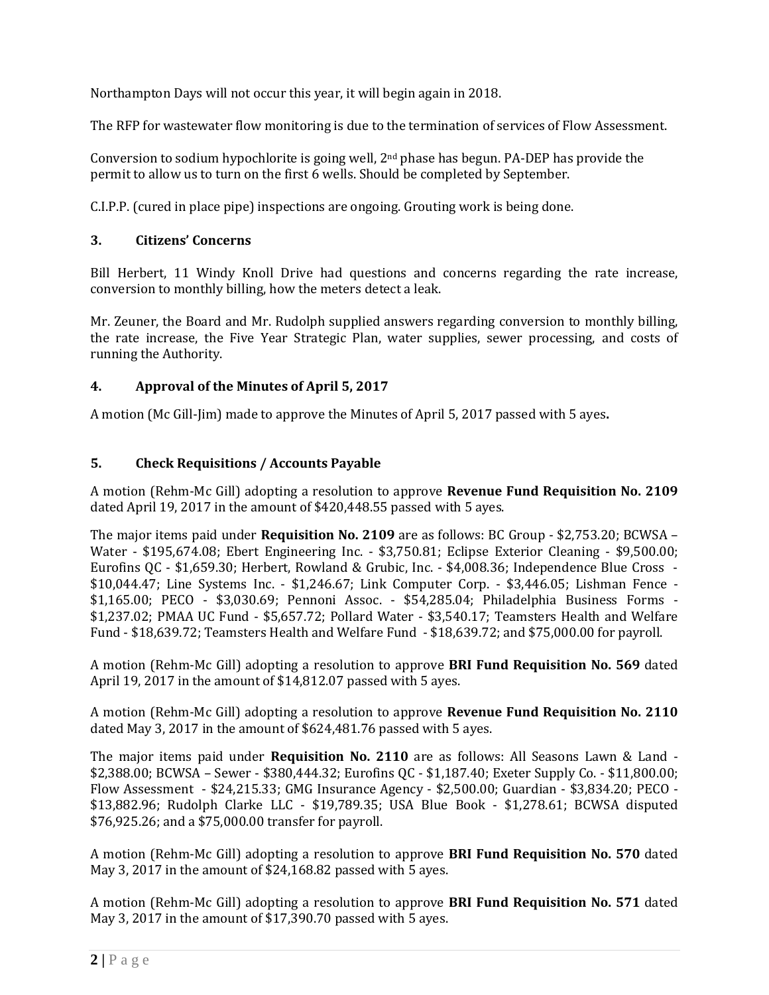Northampton Days will not occur this year, it will begin again in 2018.

The RFP for wastewater flow monitoring is due to the termination of services of Flow Assessment.

Conversion to sodium hypochlorite is going well, 2nd phase has begun. PA-DEP has provide the permit to allow us to turn on the first 6 wells. Should be completed by September.

C.I.P.P. (cured in place pipe) inspections are ongoing. Grouting work is being done.

### **3. Citizens' Concerns**

Bill Herbert, 11 Windy Knoll Drive had questions and concerns regarding the rate increase, conversion to monthly billing, how the meters detect a leak.

Mr. Zeuner, the Board and Mr. Rudolph supplied answers regarding conversion to monthly billing, the rate increase, the Five Year Strategic Plan, water supplies, sewer processing, and costs of running the Authority.

## **4. Approval of the Minutes of April 5, 2017**

A motion (Mc Gill-Jim) made to approve the Minutes of April 5, 2017 passed with 5 ayes**.**

## **5. Check Requisitions / Accounts Payable**

A motion (Rehm-Mc Gill) adopting a resolution to approve **Revenue Fund Requisition No. 2109** dated April 19, 2017 in the amount of \$420,448.55 passed with 5 ayes.

The major items paid under **Requisition No. 2109** are as follows: BC Group - \$2,753.20; BCWSA – Water - \$195,674.08; Ebert Engineering Inc. - \$3,750.81; Eclipse Exterior Cleaning - \$9,500.00; Eurofins QC - \$1,659.30; Herbert, Rowland & Grubic, Inc. - \$4,008.36; Independence Blue Cross - \$10,044.47; Line Systems Inc. - \$1,246.67; Link Computer Corp. - \$3,446.05; Lishman Fence - \$1,165.00; PECO - \$3,030.69; Pennoni Assoc. - \$54,285.04; Philadelphia Business Forms - \$1,237.02; PMAA UC Fund - \$5,657.72; Pollard Water - \$3,540.17; Teamsters Health and Welfare Fund - \$18,639.72; Teamsters Health and Welfare Fund - \$18,639.72; and \$75,000.00 for payroll.

A motion (Rehm-Mc Gill) adopting a resolution to approve **BRI Fund Requisition No. 569** dated April 19, 2017 in the amount of \$14,812.07 passed with 5 ayes.

A motion (Rehm-Mc Gill) adopting a resolution to approve **Revenue Fund Requisition No. 2110** dated May 3, 2017 in the amount of \$624,481.76 passed with 5 ayes.

The major items paid under **Requisition No. 2110** are as follows: All Seasons Lawn & Land - \$2,388.00; BCWSA – Sewer - \$380,444.32; Eurofins QC - \$1,187.40; Exeter Supply Co. - \$11,800.00; Flow Assessment - \$24,215.33; GMG Insurance Agency - \$2,500.00; Guardian - \$3,834.20; PECO - \$13,882.96; Rudolph Clarke LLC - \$19,789.35; USA Blue Book - \$1,278.61; BCWSA disputed \$76,925.26; and a \$75,000.00 transfer for payroll.

A motion (Rehm-Mc Gill) adopting a resolution to approve **BRI Fund Requisition No. 570** dated May 3, 2017 in the amount of \$24,168.82 passed with 5 ayes.

A motion (Rehm-Mc Gill) adopting a resolution to approve **BRI Fund Requisition No. 571** dated May 3, 2017 in the amount of \$17,390.70 passed with 5 ayes.